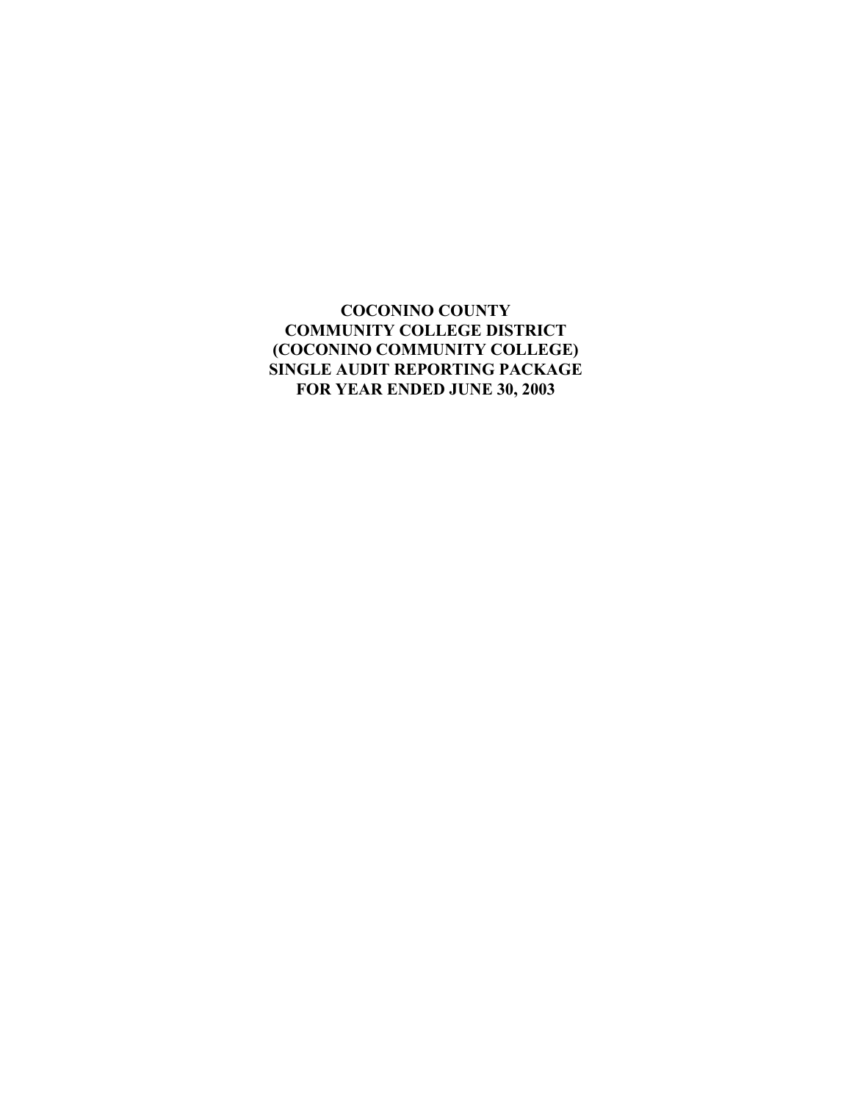**COCONINO COUNTY COMMUNITY COLLEGE DISTRICT (COCONINO COMMUNITY COLLEGE) SINGLE AUDIT REPORTING PACKAGE FOR YEAR ENDED JUNE 30, 2003**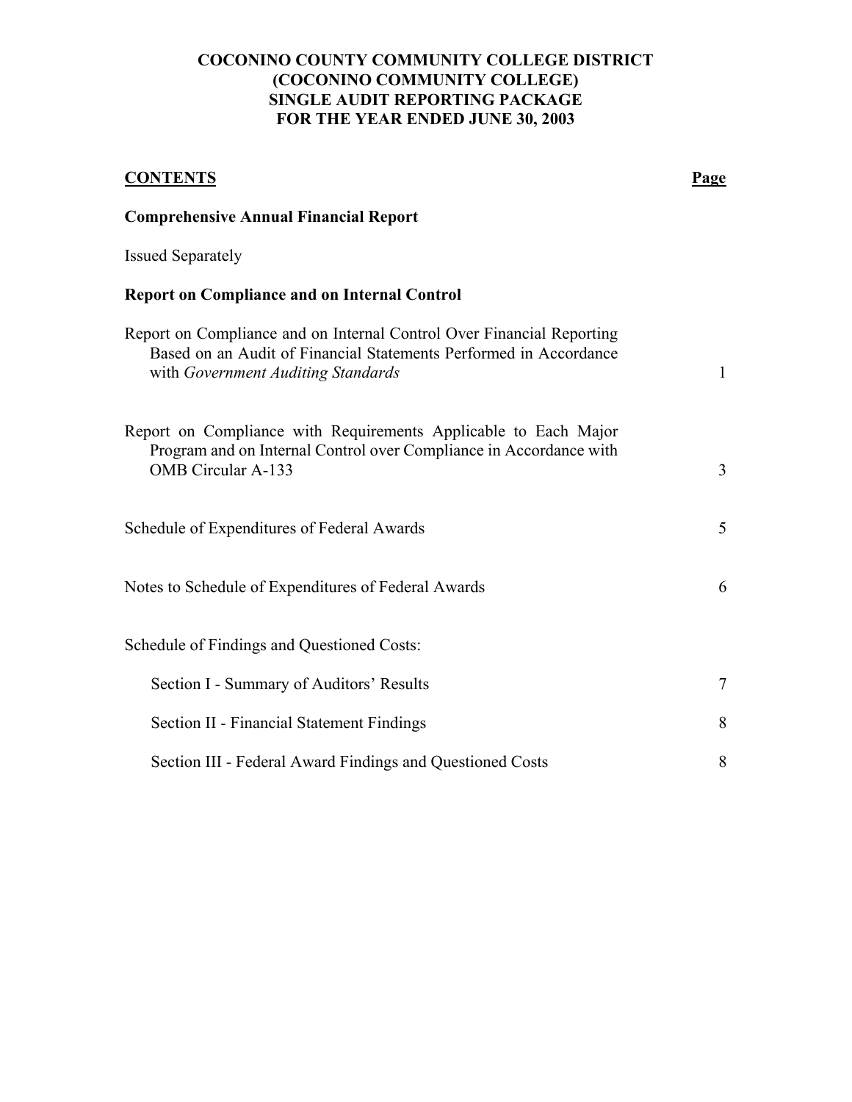# **COCONINO COUNTY COMMUNITY COLLEGE DISTRICT (COCONINO COMMUNITY COLLEGE) SINGLE AUDIT REPORTING PACKAGE FOR THE YEAR ENDED JUNE 30, 2003**

| <b>CONTENTS</b>                                                                                                                                                                  | <b>Page</b>    |
|----------------------------------------------------------------------------------------------------------------------------------------------------------------------------------|----------------|
| <b>Comprehensive Annual Financial Report</b>                                                                                                                                     |                |
| <b>Issued Separately</b>                                                                                                                                                         |                |
| <b>Report on Compliance and on Internal Control</b>                                                                                                                              |                |
| Report on Compliance and on Internal Control Over Financial Reporting<br>Based on an Audit of Financial Statements Performed in Accordance<br>with Government Auditing Standards | $\mathbf{1}$   |
| Report on Compliance with Requirements Applicable to Each Major<br>Program and on Internal Control over Compliance in Accordance with<br><b>OMB</b> Circular A-133               | $\overline{3}$ |
| Schedule of Expenditures of Federal Awards                                                                                                                                       | 5              |
| Notes to Schedule of Expenditures of Federal Awards                                                                                                                              | 6              |
| Schedule of Findings and Questioned Costs:                                                                                                                                       |                |
| Section I - Summary of Auditors' Results                                                                                                                                         | $\overline{7}$ |
| <b>Section II - Financial Statement Findings</b>                                                                                                                                 | 8              |
| Section III - Federal Award Findings and Questioned Costs                                                                                                                        | 8              |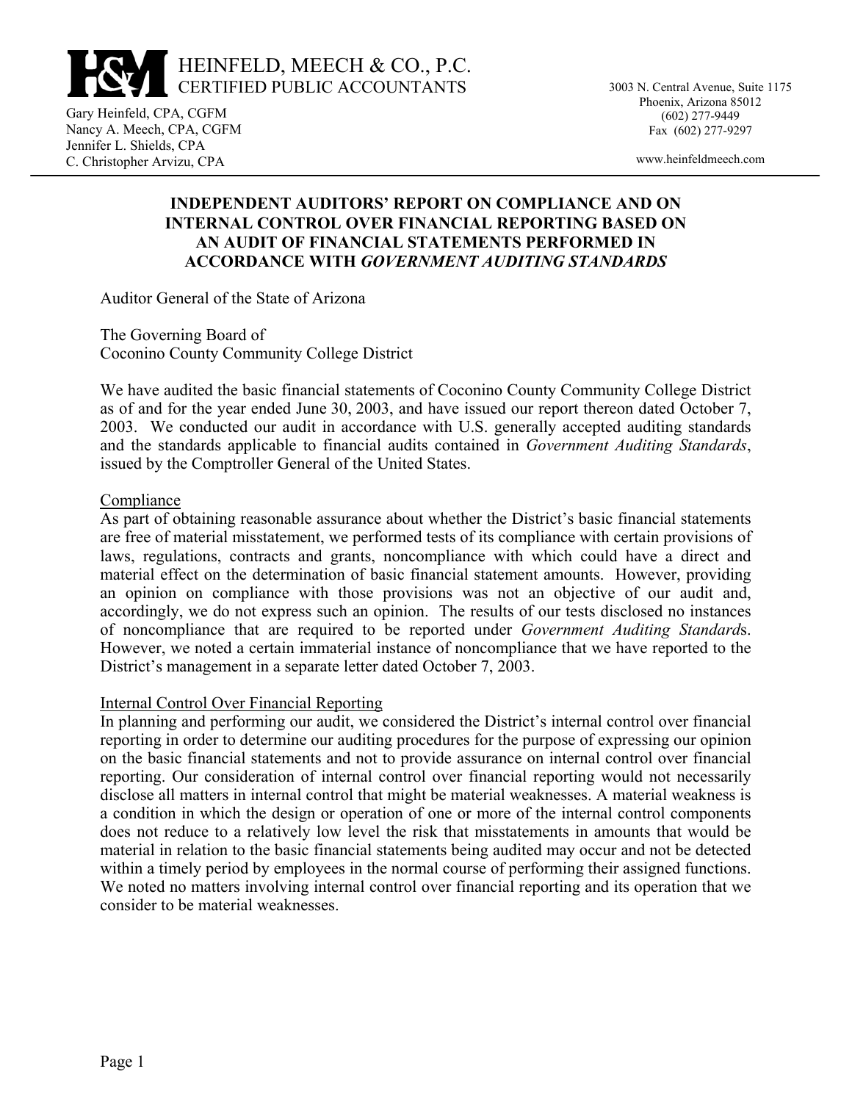

3003 N. Central Avenue, Suite 1175 Phoenix, Arizona 85012 (602) 277-9449 Fax (602) 277-9297

www.heinfeldmeech.com

#### **INDEPENDENT AUDITORS' REPORT ON COMPLIANCE AND ON INTERNAL CONTROL OVER FINANCIAL REPORTING BASED ON AN AUDIT OF FINANCIAL STATEMENTS PERFORMED IN ACCORDANCE WITH** *GOVERNMENT AUDITING STANDARDS*

Auditor General of the State of Arizona

The Governing Board of Coconino County Community College District

We have audited the basic financial statements of Coconino County Community College District as of and for the year ended June 30, 2003, and have issued our report thereon dated October 7, 2003. We conducted our audit in accordance with U.S. generally accepted auditing standards and the standards applicable to financial audits contained in *Government Auditing Standards*, issued by the Comptroller General of the United States.

#### Compliance

Gary Heinfeld, CPA, CGFM Nancy A. Meech, CPA, CGFM Jennifer L. Shields, CPA C. Christopher Arvizu, CPA

> As part of obtaining reasonable assurance about whether the District's basic financial statements are free of material misstatement, we performed tests of its compliance with certain provisions of laws, regulations, contracts and grants, noncompliance with which could have a direct and material effect on the determination of basic financial statement amounts. However, providing an opinion on compliance with those provisions was not an objective of our audit and, accordingly, we do not express such an opinion. The results of our tests disclosed no instances of noncompliance that are required to be reported under *Government Auditing Standard*s. However, we noted a certain immaterial instance of noncompliance that we have reported to the District's management in a separate letter dated October 7, 2003.

#### Internal Control Over Financial Reporting

In planning and performing our audit, we considered the District's internal control over financial reporting in order to determine our auditing procedures for the purpose of expressing our opinion on the basic financial statements and not to provide assurance on internal control over financial reporting. Our consideration of internal control over financial reporting would not necessarily disclose all matters in internal control that might be material weaknesses. A material weakness is a condition in which the design or operation of one or more of the internal control components does not reduce to a relatively low level the risk that misstatements in amounts that would be material in relation to the basic financial statements being audited may occur and not be detected within a timely period by employees in the normal course of performing their assigned functions. We noted no matters involving internal control over financial reporting and its operation that we consider to be material weaknesses.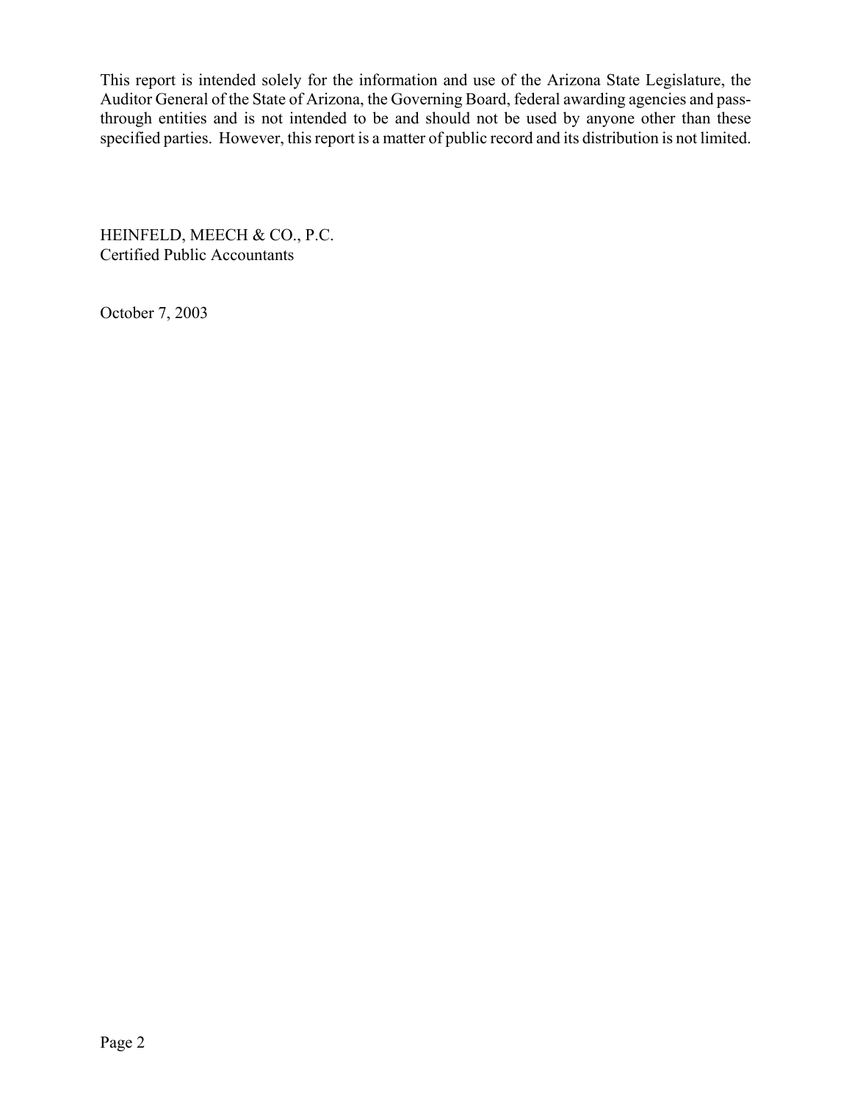This report is intended solely for the information and use of the Arizona State Legislature, the Auditor General of the State of Arizona, the Governing Board, federal awarding agencies and passthrough entities and is not intended to be and should not be used by anyone other than these specified parties. However, this report is a matter of public record and its distribution is not limited.

HEINFELD, MEECH & CO., P.C. Certified Public Accountants

October 7, 2003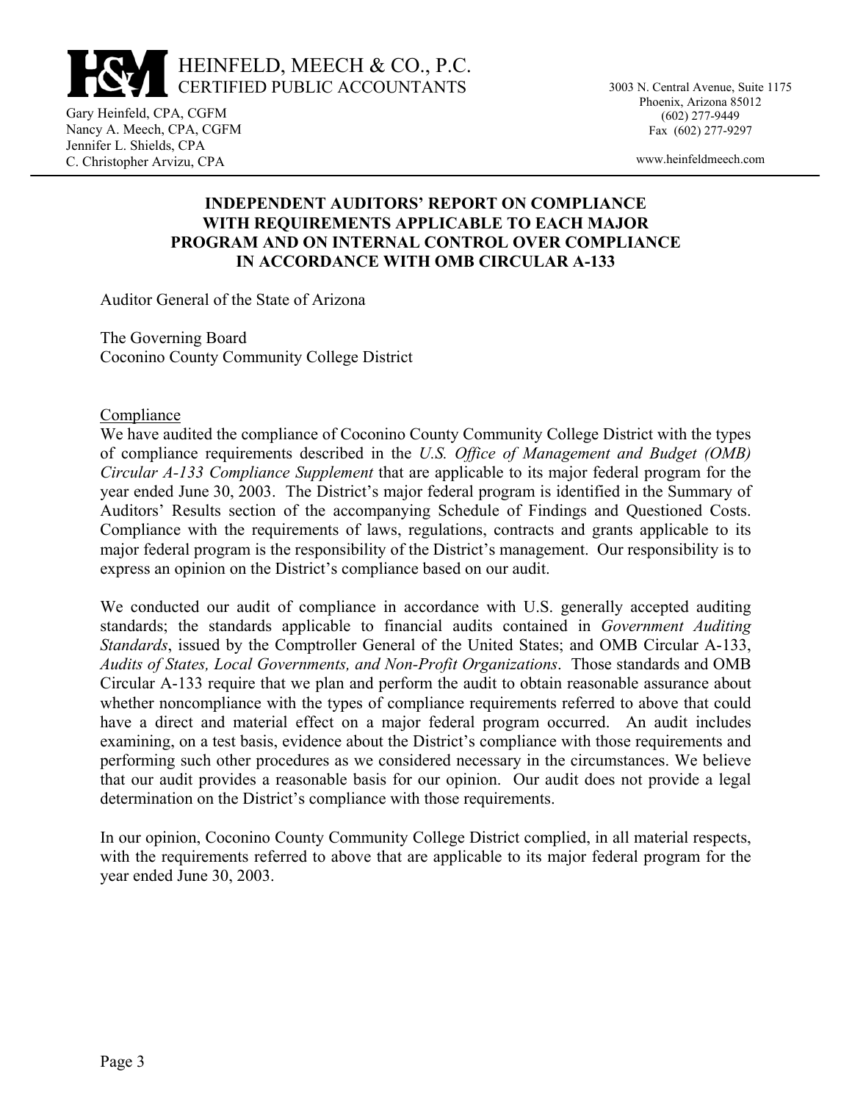

3003 N. Central Avenue, Suite 1175 Phoenix, Arizona 85012 (602) 277-9449 Fax (602) 277-9297

Gary Heinfeld, CPA, CGFM Nancy A. Meech, CPA, CGFM Jennifer L. Shields, CPA C. Christopher Arvizu, CPA

www.heinfeldmeech.com

# **INDEPENDENT AUDITORS' REPORT ON COMPLIANCE WITH REQUIREMENTS APPLICABLE TO EACH MAJOR PROGRAM AND ON INTERNAL CONTROL OVER COMPLIANCE IN ACCORDANCE WITH OMB CIRCULAR A-133**

Auditor General of the State of Arizona

The Governing Board Coconino County Community College District

#### **Compliance**

We have audited the compliance of Coconino County Community College District with the types of compliance requirements described in the *U.S. Office of Management and Budget (OMB) Circular A-133 Compliance Supplement* that are applicable to its major federal program for the year ended June 30, 2003. The District's major federal program is identified in the Summary of Auditors' Results section of the accompanying Schedule of Findings and Questioned Costs. Compliance with the requirements of laws, regulations, contracts and grants applicable to its major federal program is the responsibility of the District's management. Our responsibility is to express an opinion on the District's compliance based on our audit.

We conducted our audit of compliance in accordance with U.S. generally accepted auditing standards; the standards applicable to financial audits contained in *Government Auditing Standards*, issued by the Comptroller General of the United States; and OMB Circular A-133, *Audits of States, Local Governments, and Non-Profit Organizations*. Those standards and OMB Circular A-133 require that we plan and perform the audit to obtain reasonable assurance about whether noncompliance with the types of compliance requirements referred to above that could have a direct and material effect on a major federal program occurred. An audit includes examining, on a test basis, evidence about the District's compliance with those requirements and performing such other procedures as we considered necessary in the circumstances. We believe that our audit provides a reasonable basis for our opinion. Our audit does not provide a legal determination on the District's compliance with those requirements.

In our opinion, Coconino County Community College District complied, in all material respects, with the requirements referred to above that are applicable to its major federal program for the year ended June 30, 2003.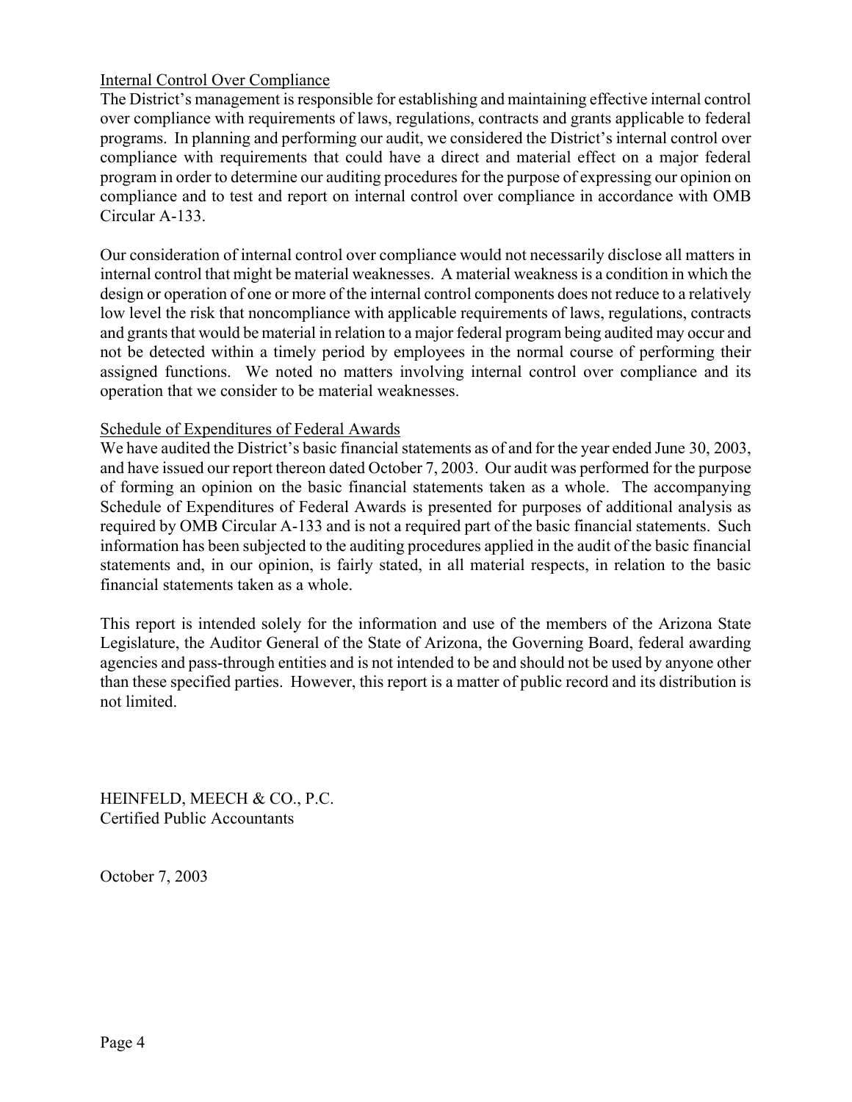#### Internal Control Over Compliance

The District's management is responsible for establishing and maintaining effective internal control over compliance with requirements of laws, regulations, contracts and grants applicable to federal programs. In planning and performing our audit, we considered the District's internal control over compliance with requirements that could have a direct and material effect on a major federal program in order to determine our auditing procedures for the purpose of expressing our opinion on compliance and to test and report on internal control over compliance in accordance with OMB Circular A-133.

Our consideration of internal control over compliance would not necessarily disclose all matters in internal control that might be material weaknesses. A material weakness is a condition in which the design or operation of one or more of the internal control components does not reduce to a relatively low level the risk that noncompliance with applicable requirements of laws, regulations, contracts and grants that would be material in relation to a major federal program being audited may occur and not be detected within a timely period by employees in the normal course of performing their assigned functions. We noted no matters involving internal control over compliance and its operation that we consider to be material weaknesses.

#### Schedule of Expenditures of Federal Awards

We have audited the District's basic financial statements as of and for the year ended June 30, 2003, and have issued our report thereon dated October 7, 2003. Our audit was performed for the purpose of forming an opinion on the basic financial statements taken as a whole. The accompanying Schedule of Expenditures of Federal Awards is presented for purposes of additional analysis as required by OMB Circular A-133 and is not a required part of the basic financial statements. Such information has been subjected to the auditing procedures applied in the audit of the basic financial statements and, in our opinion, is fairly stated, in all material respects, in relation to the basic financial statements taken as a whole.

This report is intended solely for the information and use of the members of the Arizona State Legislature, the Auditor General of the State of Arizona, the Governing Board, federal awarding agencies and pass-through entities and is not intended to be and should not be used by anyone other than these specified parties. However, this report is a matter of public record and its distribution is not limited.

HEINFELD, MEECH & CO., P.C. Certified Public Accountants

October 7, 2003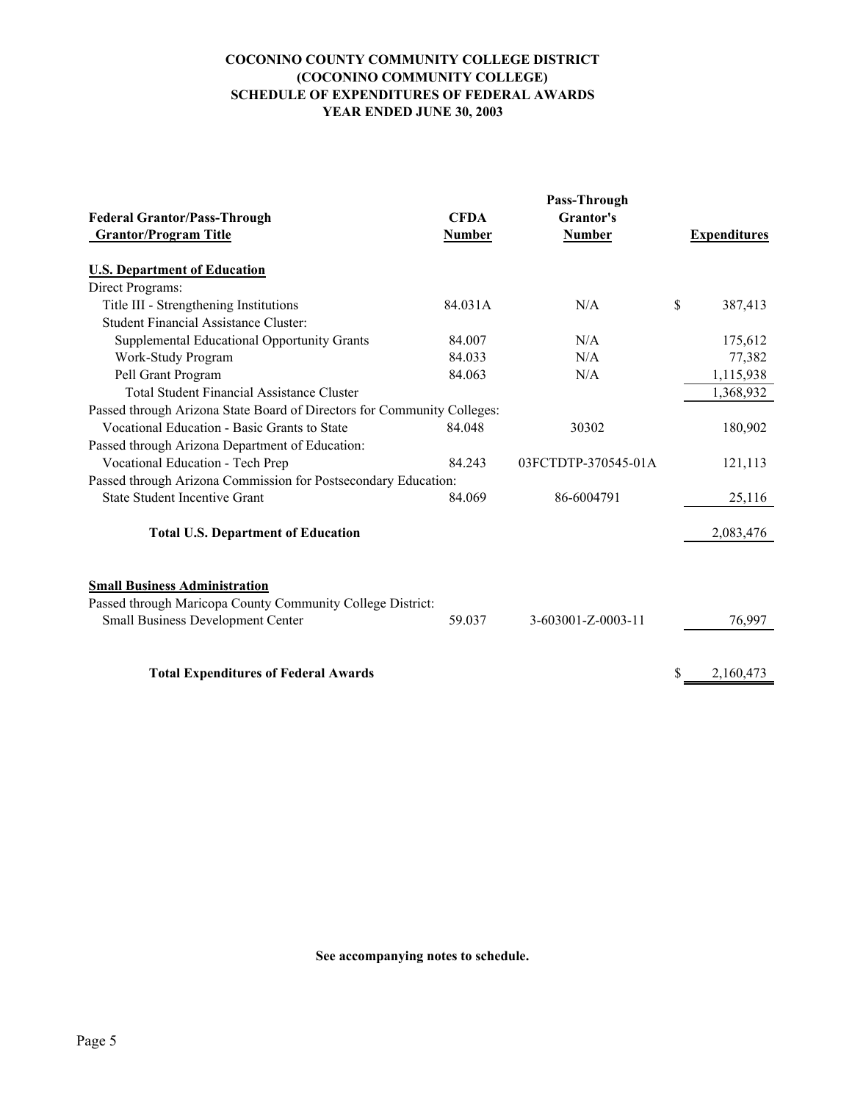#### **COCONINO COUNTY COMMUNITY COLLEGE DISTRICT (COCONINO COMMUNITY COLLEGE) SCHEDULE OF EXPENDITURES OF FEDERAL AWARDS YEAR ENDED JUNE 30, 2003**

| <b>Federal Grantor/Pass-Through</b><br><b>Grantor/Program Title</b>                                                                            | <b>CFDA</b><br><b>Number</b> | Pass-Through<br>Grantor's<br><b>Number</b> |    | <b>Expenditures</b> |
|------------------------------------------------------------------------------------------------------------------------------------------------|------------------------------|--------------------------------------------|----|---------------------|
| <b>U.S. Department of Education</b>                                                                                                            |                              |                                            |    |                     |
| Direct Programs:                                                                                                                               |                              |                                            |    |                     |
| Title III - Strengthening Institutions                                                                                                         | 84.031A                      | N/A                                        | \$ | 387,413             |
| Student Financial Assistance Cluster:                                                                                                          |                              |                                            |    |                     |
| Supplemental Educational Opportunity Grants                                                                                                    | 84.007                       | N/A                                        |    | 175,612             |
| Work-Study Program                                                                                                                             | 84.033                       | N/A                                        |    | 77,382              |
| Pell Grant Program                                                                                                                             | 84.063                       | N/A                                        |    | 1,115,938           |
| <b>Total Student Financial Assistance Cluster</b>                                                                                              |                              |                                            |    | 1,368,932           |
| Passed through Arizona State Board of Directors for Community Colleges:                                                                        |                              |                                            |    |                     |
| Vocational Education - Basic Grants to State                                                                                                   | 84.048                       | 30302                                      |    | 180,902             |
| Passed through Arizona Department of Education:                                                                                                |                              |                                            |    |                     |
| Vocational Education - Tech Prep                                                                                                               | 84.243                       | 03FCTDTP-370545-01A                        |    | 121,113             |
| Passed through Arizona Commission for Postsecondary Education:                                                                                 |                              |                                            |    |                     |
| <b>State Student Incentive Grant</b>                                                                                                           | 84.069                       | 86-6004791                                 |    | 25,116              |
| <b>Total U.S. Department of Education</b>                                                                                                      |                              |                                            |    | 2,083,476           |
| <b>Small Business Administration</b><br>Passed through Maricopa County Community College District:<br><b>Small Business Development Center</b> | 59.037                       | 3-603001-Z-0003-11                         |    | 76,997              |
| <b>Total Expenditures of Federal Awards</b>                                                                                                    |                              |                                            | S  | 2,160,473           |

**See accompanying notes to schedule.**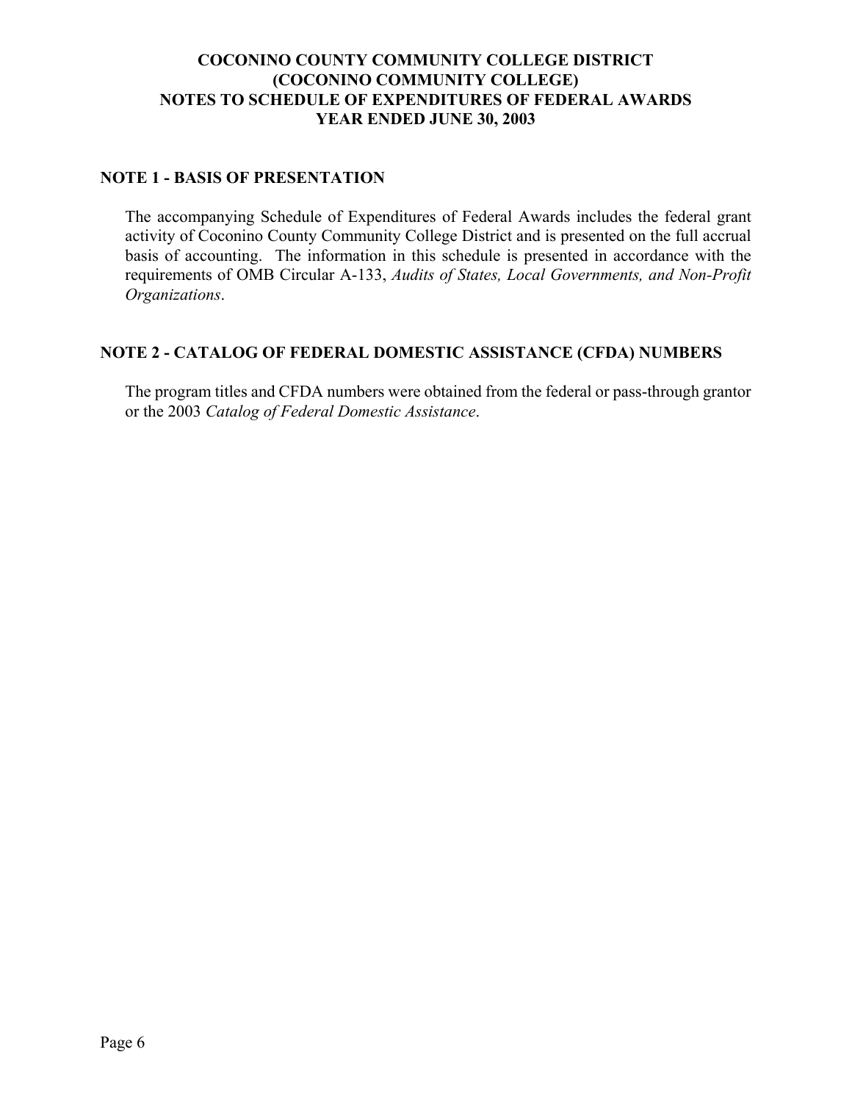## **COCONINO COUNTY COMMUNITY COLLEGE DISTRICT (COCONINO COMMUNITY COLLEGE) NOTES TO SCHEDULE OF EXPENDITURES OF FEDERAL AWARDS YEAR ENDED JUNE 30, 2003**

# **NOTE 1 - BASIS OF PRESENTATION**

The accompanying Schedule of Expenditures of Federal Awards includes the federal grant activity of Coconino County Community College District and is presented on the full accrual basis of accounting. The information in this schedule is presented in accordance with the requirements of OMB Circular A-133, *Audits of States, Local Governments, and Non-Profit Organizations*.

### **NOTE 2 - CATALOG OF FEDERAL DOMESTIC ASSISTANCE (CFDA) NUMBERS**

The program titles and CFDA numbers were obtained from the federal or pass-through grantor or the 2003 *Catalog of Federal Domestic Assistance*.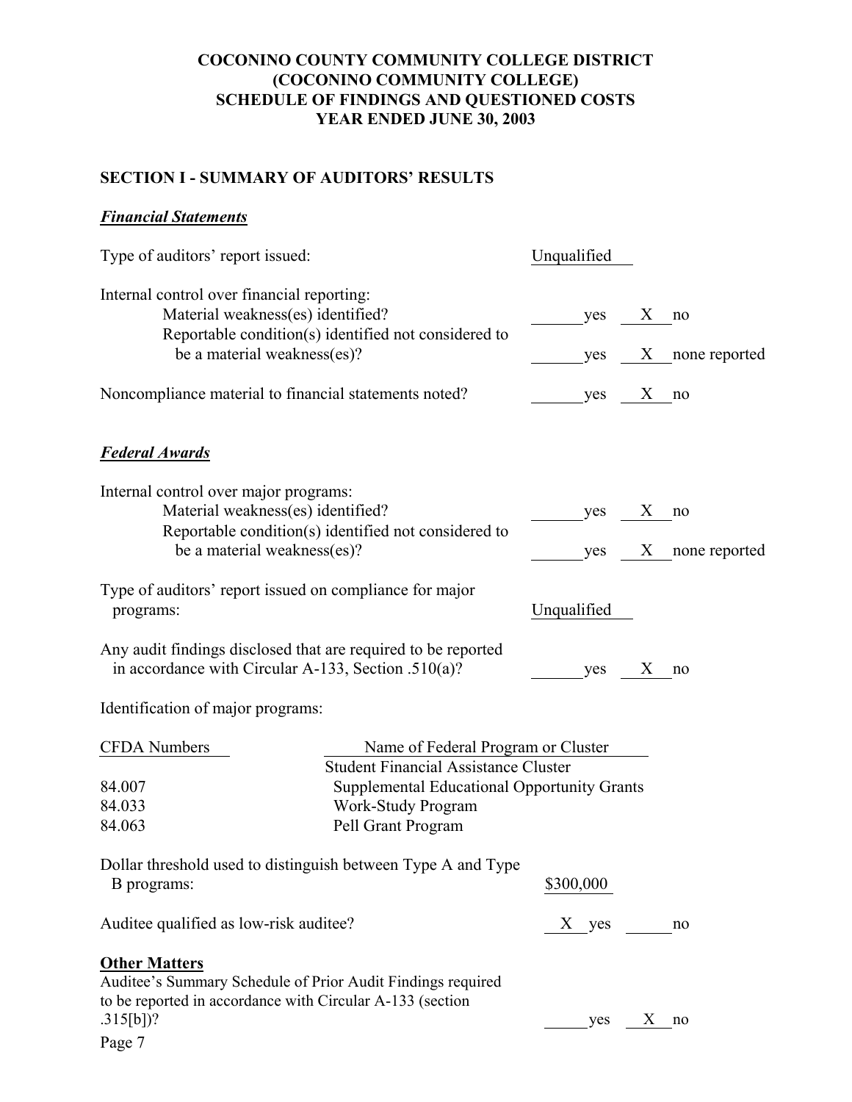#### **COCONINO COUNTY COMMUNITY COLLEGE DISTRICT (COCONINO COMMUNITY COLLEGE) SCHEDULE OF FINDINGS AND QUESTIONED COSTS YEAR ENDED JUNE 30, 2003**

# **SECTION I - SUMMARY OF AUDITORS' RESULTS**

# *Financial Statements*

| Type of auditors' report issued:                                                                                                                              |                                                                                                                                               | Unqualified |   |                |
|---------------------------------------------------------------------------------------------------------------------------------------------------------------|-----------------------------------------------------------------------------------------------------------------------------------------------|-------------|---|----------------|
| Internal control over financial reporting:<br>Material weakness(es) identified?                                                                               | Reportable condition(s) identified not considered to                                                                                          | yes         | X | no             |
| be a material weakness(es)?                                                                                                                                   |                                                                                                                                               | yes         | X | none reported  |
| Noncompliance material to financial statements noted?                                                                                                         |                                                                                                                                               | yes         | X | no             |
| <u>Federal Awards</u>                                                                                                                                         |                                                                                                                                               |             |   |                |
| Internal control over major programs:                                                                                                                         |                                                                                                                                               |             |   |                |
| Material weakness(es) identified?                                                                                                                             | Reportable condition(s) identified not considered to                                                                                          | yes         | X | no             |
| be a material weakness(es)?                                                                                                                                   |                                                                                                                                               | yes         | X | none reported  |
| Type of auditors' report issued on compliance for major<br>programs:                                                                                          |                                                                                                                                               | Unqualified |   |                |
| Any audit findings disclosed that are required to be reported<br>in accordance with Circular A-133, Section .510(a)?                                          |                                                                                                                                               | yes         | X | no             |
| Identification of major programs:                                                                                                                             |                                                                                                                                               |             |   |                |
| <b>CFDA Numbers</b>                                                                                                                                           | Name of Federal Program or Cluster                                                                                                            |             |   |                |
| 84.007<br>84.033<br>84.063                                                                                                                                    | <b>Student Financial Assistance Cluster</b><br><b>Supplemental Educational Opportunity Grants</b><br>Work-Study Program<br>Pell Grant Program |             |   |                |
| Dollar threshold used to distinguish between Type A and Type<br>B programs:                                                                                   |                                                                                                                                               | \$300,000   |   |                |
| Auditee qualified as low-risk auditee?                                                                                                                        |                                                                                                                                               | X yes       |   | n <sub>0</sub> |
| <b>Other Matters</b><br>Auditee's Summary Schedule of Prior Audit Findings required<br>to be reported in accordance with Circular A-133 (section<br>.315[b])? |                                                                                                                                               | yes         | X | no             |
| Page 7                                                                                                                                                        |                                                                                                                                               |             |   |                |